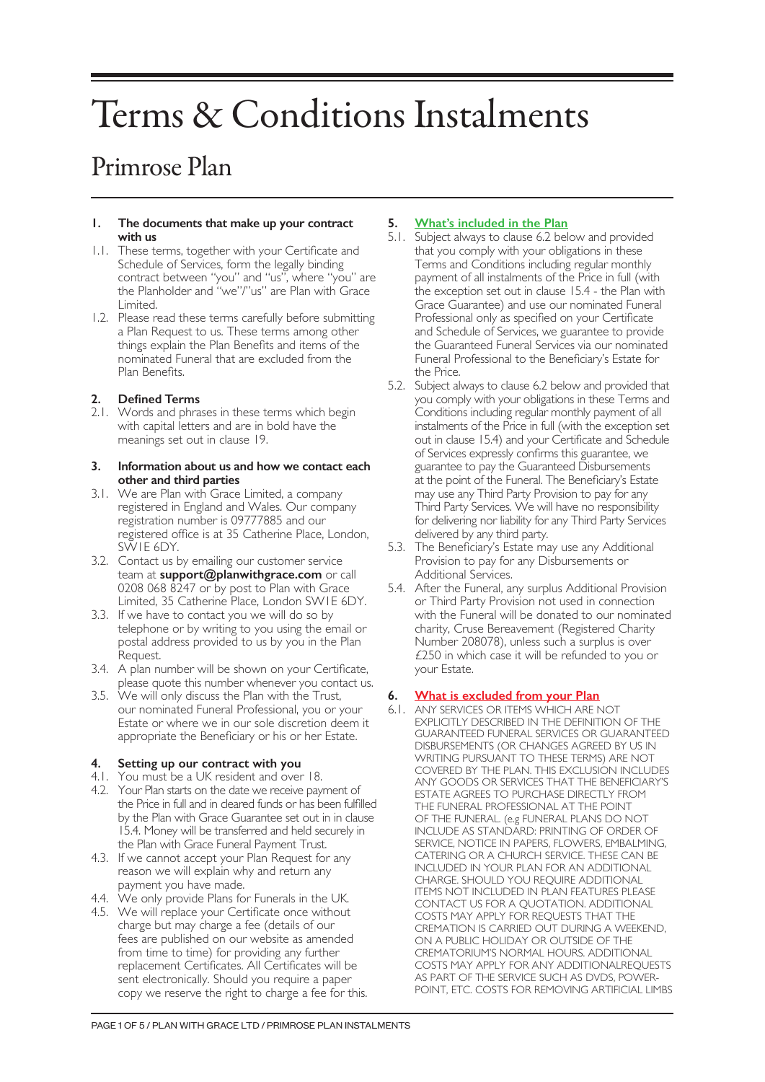# Terms & Conditions Instalments

# Primrose Plan

#### **1. The documents that make up your contract with us**

- 1.1. These terms, together with your Certificate and Schedule of Services, form the legally binding contract between "you" and "us", where "you" are the Planholder and "we"/"us" are Plan with Grace Limited.
- 1.2. Please read these terms carefully before submitting a Plan Request to us. These terms among other things explain the Plan Benefits and items of the nominated Funeral that are excluded from the Plan Benefits.

# **2. Defined Terms**

2.1. Words and phrases in these terms which begin with capital letters and are in bold have the meanings set out in clause 19.

#### **3. Information about us and how we contact each other and third parties**

- 3.1. We are Plan with Grace Limited, a company registered in England and Wales. Our company registration number is 09777885 and our registered office is at 35 Catherine Place, London, SW1E 6DY.
- 3.2. Contact us by emailing our customer service team at **support@planwithgrace.com** or call 0208 068 8247 or by post to Plan with Grace Limited, 35 Catherine Place, London SW1E 6DY.
- 3.3. If we have to contact you we will do so by telephone or by writing to you using the email or postal address provided to us by you in the Plan Request.
- 3.4. A plan number will be shown on your Certificate, please quote this number whenever you contact us.
- 3.5. We will only discuss the Plan with the Trust, our nominated Funeral Professional, you or your Estate or where we in our sole discretion deem it appropriate the Beneficiary or his or her Estate.

# **4. Setting up our contract with you**

- 4.1. You must be a UK resident and over 18.
- 4.2. Your Plan starts on the date we receive payment of the Price in full and in cleared funds or has been fulfilled by the Plan with Grace Guarantee set out in in clause 15.4. Money will be transferred and held securely in the Plan with Grace Funeral Payment Trust.
- 4.3. If we cannot accept your Plan Request for any reason we will explain why and return any payment you have made.
- 4.4. We only provide Plans for Funerals in the UK.
- 4.5. We will replace your Certificate once without charge but may charge a fee (details of our fees are published on our website as amended from time to time) for providing any further replacement Certificates. All Certificates will be sent electronically. Should you require a paper copy we reserve the right to charge a fee for this.

# **5. What's included in the Plan**

- 5.1. Subject always to clause 6.2 below and provided that you comply with your obligations in these Terms and Conditions including regular monthly payment of all instalments of the Price in full (with the exception set out in clause 15.4 - the Plan with Grace Guarantee) and use our nominated Funeral Professional only as specified on your Certificate and Schedule of Services, we guarantee to provide the Guaranteed Funeral Services via our nominated Funeral Professional to the Beneficiary's Estate for the Price.
- 5.2. Subject always to clause 6.2 below and provided that you comply with your obligations in these Terms and Conditions including regular monthly payment of all instalments of the Price in full (with the exception set out in clause 15.4) and your Certificate and Schedule of Services expressly confirms this guarantee, we guarantee to pay the Guaranteed Disbursements at the point of the Funeral. The Beneficiary's Estate may use any Third Party Provision to pay for any Third Party Services. We will have no responsibility for delivering nor liability for any Third Party Services delivered by any third party.
- 5.3. The Beneficiary's Estate may use any Additional Provision to pay for any Disbursements or Additional Services.
- 5.4. After the Funeral, any surplus Additional Provision or Third Party Provision not used in connection with the Funeral will be donated to our nominated charity, Cruse Bereavement (Registered Charity Number 208078), unless such a surplus is over £250 in which case it will be refunded to you or your Estate.

# **6. What is excluded from your Plan**

6.1. ANY SERVICES OR ITEMS WHICH ARE NOT EXPLICITLY DESCRIBED IN THE DEFINITION OF THE GUARANTEED FUNERAL SERVICES OR GUARANTEED DISBURSEMENTS (OR CHANGES AGREED BY US IN WRITING PURSUANT TO THESE TERMS) ARE NOT COVERED BY THE PLAN. THIS EXCLUSION INCLUDES ANY GOODS OR SERVICES THAT THE BENEFICIARY'S ESTATE AGREES TO PURCHASE DIRECTLY FROM THE FUNERAL PROFESSIONAL AT THE POINT OF THE FUNERAL. (e.g FUNERAL PLANS DO NOT INCLUDE AS STANDARD: PRINTING OF ORDER OF SERVICE, NOTICE IN PAPERS, FLOWERS, EMBALMING, CATERING OR A CHURCH SERVICE. THESE CAN BE INCLUDED IN YOUR PLAN FOR AN ADDITIONAL CHARGE. SHOULD YOU REQUIRE ADDITIONAL ITEMS NOT INCLUDED IN PLAN FEATURES PLEASE CONTACT US FOR A QUOTATION. ADDITIONAL COSTS MAY APPLY FOR REQUESTS THAT THE CREMATION IS CARRIED OUT DURING A WEEKEND, ON A PUBLIC HOLIDAY OR OUTSIDE OF THE CREMATORIUM'S NORMAL HOURS. ADDITIONAL COSTS MAY APPLY FOR ANY ADDITIONALREQUESTS AS PART OF THE SERVICE SUCH AS DVDS, POWER-POINT, ETC. COSTS FOR REMOVING ARTIFICIAL LIMBS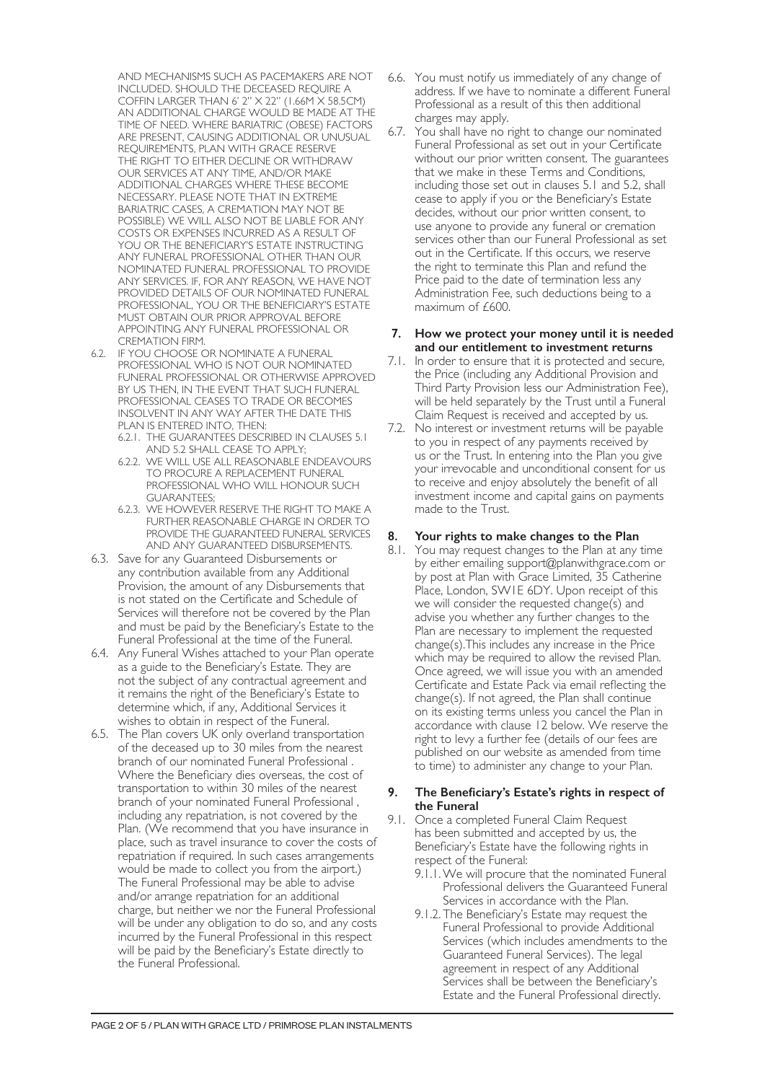AND MECHANISMS SUCH AS PACEMAKERS ARE NOT INCLUDED. SHOULD THE DECEASED REQUIRE A COFFIN LARGER THAN 6' 2" X 22" (1.66M X 58.5CM) AN ADDITIONAL CHARGE WOULD BE MADE AT THE TIME OF NEED. WHERE BARIATRIC (OBESE) FACTORS ARE PRESENT, CAUSING ADDITIONAL OR UNUSUAL REQUIREMENTS, PLAN WITH GRACE RESERVE THE RIGHT TO EITHER DECLINE OR WITHDRAW OUR SERVICES AT ANY TIME, AND/OR MAKE ADDITIONAL CHARGES WHERE THESE BECOME NECESSARY. PLEASE NOTE THAT IN EXTREME BARIATRIC CASES, A CREMATION MAY NOT BE POSSIBLE) WE WILL ALSO NOT BE LIABLE FOR ANY COSTS OR EXPENSES INCURRED AS A RESULT OF YOU OR THE BENEFICIARY'S ESTATE INSTRUCTING ANY FUNERAL PROFESSIONAL OTHER THAN OUR NOMINATED FUNERAL PROFESSIONAL TO PROVIDE ANY SERVICES. IF, FOR ANY REASON, WE HAVE NOT PROVIDED DETAILS OF OUR NOMINATED FUNERAL PROFESSIONAL, YOU OR THE BENEFICIARY'S ESTATE MUST OBTAIN OUR PRIOR APPROVAL BEFORE APPOINTING ANY FUNERAL PROFESSIONAL OR CREMATION FIRM.

- 6.2. IF YOU CHOOSE OR NOMINATE A FUNERAL PROFESSIONAL WHO IS NOT OUR NOMINATED FUNERAL PROFESSIONAL OR OTHERWISE APPROVED BY US THEN, IN THE EVENT THAT SUCH FUNERAL PROFESSIONAL CEASES TO TRADE OR BECOMES INSOLVENT IN ANY WAY AFTER THE DATE THIS PLAN IS ENTERED INTO, THEN:
	- 6.2.1. THE GUARANTEES DESCRIBED IN CLAUSES 5.1 AND 5.2 SHALL CEASE TO APPLY;
	- 6.2.2. WE WILL USE ALL REASONABLE ENDEAVOURS TO PROCURE A REPLACEMENT FUNERAL PROFESSIONAL WHO WILL HONOUR SUCH GUARANTEES;
	- 6.2.3. WE HOWEVER RESERVE THE RIGHT TO MAKE A FURTHER REASONABLE CHARGE IN ORDER TO PROVIDE THE GUARANTEED FUNERAL SERVICES AND ANY GUARANTEED DISBURSEMENTS.
- 6.3. Save for any Guaranteed Disbursements or any contribution available from any Additional Provision, the amount of any Disbursements that is not stated on the Certificate and Schedule of Services will therefore not be covered by the Plan and must be paid by the Beneficiary's Estate to the Funeral Professional at the time of the Funeral.
- 6.4. Any Funeral Wishes attached to your Plan operate as a guide to the Beneficiary's Estate. They are not the subject of any contractual agreement and it remains the right of the Beneficiary's Estate to determine which, if any, Additional Services it wishes to obtain in respect of the Funeral.
- 6.5. The Plan covers UK only overland transportation of the deceased up to 30 miles from the nearest branch of our nominated Funeral Professional . Where the Beneficiary dies overseas, the cost of transportation to within 30 miles of the nearest branch of your nominated Funeral Professional , including any repatriation, is not covered by the Plan. (We recommend that you have insurance in place, such as travel insurance to cover the costs of repatriation if required. In such cases arrangements would be made to collect you from the airport.) The Funeral Professional may be able to advise and/or arrange repatriation for an additional charge, but neither we nor the Funeral Professional will be under any obligation to do so, and any costs incurred by the Funeral Professional in this respect will be paid by the Beneficiary's Estate directly to the Funeral Professional.
- 6.6. You must notify us immediately of any change of address. If we have to nominate a different Funeral Professional as a result of this then additional charges may apply.
- 6.7. You shall have no right to change our nominated Funeral Professional as set out in your Certificate without our prior written consent. The guarantees that we make in these Terms and Conditions, including those set out in clauses 5.1 and 5.2, shall cease to apply if you or the Beneficiary's Estate decides, without our prior written consent, to use anyone to provide any funeral or cremation services other than our Funeral Professional as set out in the Certificate. If this occurs, we reserve the right to terminate this Plan and refund the Price paid to the date of termination less any Administration Fee, such deductions being to a maximum of £600.

#### **7. How we protect your money until it is needed and our entitlement to investment returns**

- 7.1. In order to ensure that it is protected and secure, the Price (including any Additional Provision and Third Party Provision less our Administration Fee), will be held separately by the Trust until a Funeral Claim Request is received and accepted by us.
- 7.2. No interest or investment returns will be payable to you in respect of any payments received by us or the Trust. In entering into the Plan you give your irrevocable and unconditional consent for us to receive and enjoy absolutely the benefit of all investment income and capital gains on payments made to the Trust.

# **8. Your rights to make changes to the Plan**

8.1. You may request changes to the Plan at any time by either emailing support@planwithgrace.com or by post at Plan with Grace Limited, 35 Catherine Place, London, SW1E 6DY. Upon receipt of this we will consider the requested change(s) and advise you whether any further changes to the Plan are necessary to implement the requested change(s).This includes any increase in the Price which may be required to allow the revised Plan. Once agreed, we will issue you with an amended Certificate and Estate Pack via email reflecting the change(s). If not agreed, the Plan shall continue on its existing terms unless you cancel the Plan in accordance with clause 12 below. We reserve the right to levy a further fee (details of our fees are published on our website as amended from time to time) to administer any change to your Plan.

#### **9. The Beneficiary's Estate's rights in respect of the Funeral**

- 9.1. Once a completed Funeral Claim Request has been submitted and accepted by us, the Beneficiary's Estate have the following rights in respect of the Funeral:
	- 9.1.1.We will procure that the nominated Funeral Professional delivers the Guaranteed Funeral Services in accordance with the Plan.
	- 9.1.2. The Beneficiary's Estate may request the Funeral Professional to provide Additional Services (which includes amendments to the Guaranteed Funeral Services). The legal agreement in respect of any Additional Services shall be between the Beneficiary's Estate and the Funeral Professional directly.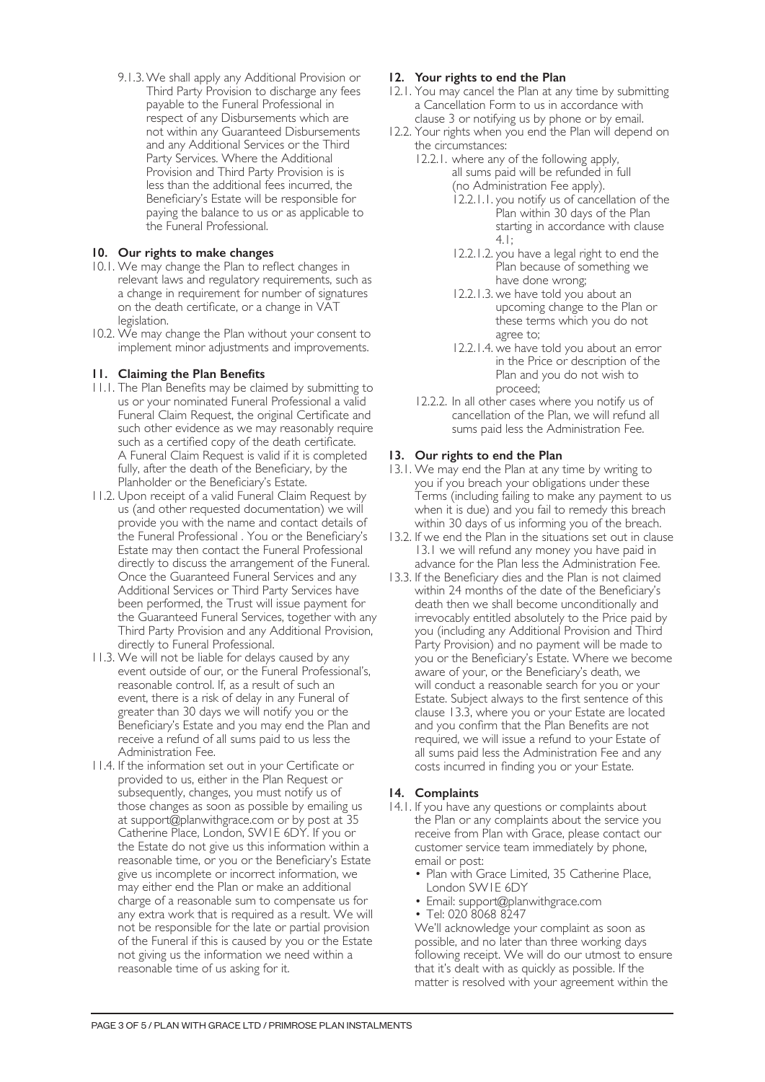9.1.3.We shall apply any Additional Provision or Third Party Provision to discharge any fees payable to the Funeral Professional in respect of any Disbursements which are not within any Guaranteed Disbursements and any Additional Services or the Third Party Services. Where the Additional Provision and Third Party Provision is is less than the additional fees incurred, the Beneficiary's Estate will be responsible for paying the balance to us or as applicable to the Funeral Professional.

# **10. Our rights to make changes**

- 10.1. We may change the Plan to reflect changes in relevant laws and regulatory requirements, such as a change in requirement for number of signatures on the death certificate, or a change in VAT legislation.
- 10.2. We may change the Plan without your consent to implement minor adjustments and improvements.

# **11. Claiming the Plan Benefits**

- 11.1. The Plan Benefits may be claimed by submitting to us or your nominated Funeral Professional a valid Funeral Claim Request, the original Certificate and such other evidence as we may reasonably require such as a certified copy of the death certificate. A Funeral Claim Request is valid if it is completed fully, after the death of the Beneficiary, by the Planholder or the Beneficiary's Estate.
- 11.2. Upon receipt of a valid Funeral Claim Request by us (and other requested documentation) we will provide you with the name and contact details of the Funeral Professional . You or the Beneficiary's Estate may then contact the Funeral Professional directly to discuss the arrangement of the Funeral. Once the Guaranteed Funeral Services and any Additional Services or Third Party Services have been performed, the Trust will issue payment for the Guaranteed Funeral Services, together with any Third Party Provision and any Additional Provision, directly to Funeral Professional.
- 11.3. We will not be liable for delays caused by any event outside of our, or the Funeral Professional's, reasonable control. If, as a result of such an event, there is a risk of delay in any Funeral of greater than 30 days we will notify you or the Beneficiary's Estate and you may end the Plan and receive a refund of all sums paid to us less the Administration Fee.
- 11.4. If the information set out in your Certificate or provided to us, either in the Plan Request or subsequently, changes, you must notify us of those changes as soon as possible by emailing us at support@planwithgrace.com or by post at 35 Catherine Place, London, SW1E 6DY. If you or the Estate do not give us this information within a reasonable time, or you or the Beneficiary's Estate give us incomplete or incorrect information, we may either end the Plan or make an additional charge of a reasonable sum to compensate us for any extra work that is required as a result. We will not be responsible for the late or partial provision of the Funeral if this is caused by you or the Estate not giving us the information we need within a reasonable time of us asking for it.

# **12. Your rights to end the Plan**

- 12.1. You may cancel the Plan at any time by submitting a Cancellation Form to us in accordance with clause 3 or notifying us by phone or by email.
- 12.2. Your rights when you end the Plan will depend on the circumstances:
	- 12.2.1. where any of the following apply, all sums paid will be refunded in full (no Administration Fee apply).
		- 12.2.1.1. you notify us of cancellation of the Plan within 30 days of the Plan starting in accordance with clause 4.1;
		- 12.2.1.2. you have a legal right to end the Plan because of something we have done wrong;
		- 12.2.1.3. we have told you about an upcoming change to the Plan or these terms which you do not agree to;
		- 12.2.1.4. we have told you about an error in the Price or description of the Plan and you do not wish to proceed;
	- 12.2.2. In all other cases where you notify us of cancellation of the Plan, we will refund all sums paid less the Administration Fee.

# **13. Our rights to end the Plan**

- 13.1. We may end the Plan at any time by writing to you if you breach your obligations under these Terms (including failing to make any payment to us when it is due) and you fail to remedy this breach within 30 days of us informing you of the breach.
- 13.2. If we end the Plan in the situations set out in clause 13.1 we will refund any money you have paid in advance for the Plan less the Administration Fee.
- 13.3. If the Beneficiary dies and the Plan is not claimed within 24 months of the date of the Beneficiary's death then we shall become unconditionally and irrevocably entitled absolutely to the Price paid by you (including any Additional Provision and Third Party Provision) and no payment will be made to you or the Beneficiary's Estate. Where we become aware of your, or the Beneficiary's death, we will conduct a reasonable search for you or your Estate. Subject always to the first sentence of this clause 13.3, where you or your Estate are located and you confirm that the Plan Benefits are not required, we will issue a refund to your Estate of all sums paid less the Administration Fee and any costs incurred in finding you or your Estate.

#### **14. Complaints**

- 14.1. If you have any questions or complaints about the Plan or any complaints about the service you receive from Plan with Grace, please contact our customer service team immediately by phone, email or post:
	- Plan with Grace Limited, 35 Catherine Place, London SW1E 6DY
	- Email: support@planwithgrace.com
	- Tel: 020 8068 8247

We'll acknowledge your complaint as soon as possible, and no later than three working days following receipt. We will do our utmost to ensure that it's dealt with as quickly as possible. If the matter is resolved with your agreement within the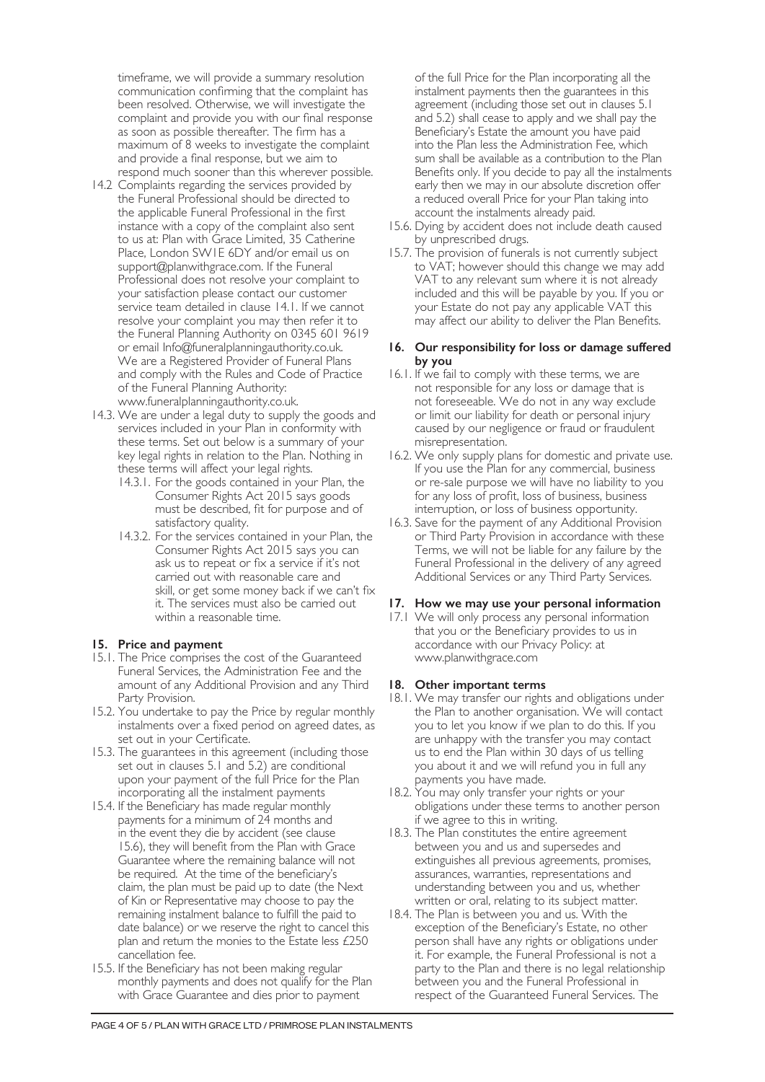timeframe, we will provide a summary resolution communication confirming that the complaint has been resolved. Otherwise, we will investigate the complaint and provide you with our final response as soon as possible thereafter. The firm has a maximum of 8 weeks to investigate the complaint and provide a final response, but we aim to respond much sooner than this wherever possible.

- 14.2 Complaints regarding the services provided by the Funeral Professional should be directed to the applicable Funeral Professional in the first instance with a copy of the complaint also sent to us at: Plan with Grace Limited, 35 Catherine Place, London SW1E 6DY and/or email us on support@planwithgrace.com. If the Funeral Professional does not resolve your complaint to your satisfaction please contact our customer service team detailed in clause 14.1. If we cannot resolve your complaint you may then refer it to the Funeral Planning Authority on 0345 601 9619 or email Info@funeralplanningauthority.co.uk. We are a Registered Provider of Funeral Plans and comply with the Rules and Code of Practice of the Funeral Planning Authority: www.funeralplanningauthority.co.uk.
- 14.3. We are under a legal duty to supply the goods and services included in your Plan in conformity with these terms. Set out below is a summary of your key legal rights in relation to the Plan. Nothing in these terms will affect your legal rights.
	- 14.3.1. For the goods contained in your Plan, the Consumer Rights Act 2015 says goods must be described, fit for purpose and of satisfactory quality.
	- 14.3.2. For the services contained in your Plan, the Consumer Rights Act 2015 says you can ask us to repeat or fix a service if it's not carried out with reasonable care and skill, or get some money back if we can't fix it. The services must also be carried out within a reasonable time.

#### **15. Price and payment**

- 15.1. The Price comprises the cost of the Guaranteed Funeral Services, the Administration Fee and the amount of any Additional Provision and any Third Party Provision.
- 15.2. You undertake to pay the Price by regular monthly instalments over a fixed period on agreed dates, as set out in your Certificate.
- 15.3. The guarantees in this agreement (including those set out in clauses 5.1 and 5.2) are conditional upon your payment of the full Price for the Plan incorporating all the instalment payments
- 15.4. If the Beneficiary has made regular monthly payments for a minimum of 24 months and in the event they die by accident (see clause 15.6), they will benefit from the Plan with Grace Guarantee where the remaining balance will not be required. At the time of the beneficiary's claim, the plan must be paid up to date (the Next of Kin or Representative may choose to pay the remaining instalment balance to fulfill the paid to date balance) or we reserve the right to cancel this plan and return the monies to the Estate less £250 cancellation fee.
- 15.5. If the Beneficiary has not been making regular monthly payments and does not qualify for the Plan with Grace Guarantee and dies prior to payment

of the full Price for the Plan incorporating all the instalment payments then the guarantees in this agreement (including those set out in clauses 5.1 and 5.2) shall cease to apply and we shall pay the Beneficiary's Estate the amount you have paid into the Plan less the Administration Fee, which sum shall be available as a contribution to the Plan Benefits only. If you decide to pay all the instalments early then we may in our absolute discretion offer a reduced overall Price for your Plan taking into account the instalments already paid.

- 15.6. Dying by accident does not include death caused by unprescribed drugs.
- 15.7. The provision of funerals is not currently subject to VAT; however should this change we may add VAT to any relevant sum where it is not already included and this will be payable by you. If you or your Estate do not pay any applicable VAT this may affect our ability to deliver the Plan Benefits.

### **16. Our responsibility for loss or damage suffered by you**

- 16.1. If we fail to comply with these terms, we are not responsible for any loss or damage that is not foreseeable. We do not in any way exclude or limit our liability for death or personal injury caused by our negligence or fraud or fraudulent misrepresentation.
- 16.2. We only supply plans for domestic and private use. If you use the Plan for any commercial, business or re-sale purpose we will have no liability to you for any loss of profit, loss of business, business interruption, or loss of business opportunity.
- 16.3. Save for the payment of any Additional Provision or Third Party Provision in accordance with these Terms, we will not be liable for any failure by the Funeral Professional in the delivery of any agreed Additional Services or any Third Party Services.

#### **17. How we may use your personal information**

17.1 We will only process any personal information that you or the Beneficiary provides to us in accordance with our Privacy Policy: at www.planwithgrace.com

#### **18. Other important terms**

- 18.1. We may transfer our rights and obligations under the Plan to another organisation. We will contact you to let you know if we plan to do this. If you are unhappy with the transfer you may contact us to end the Plan within 30 days of us telling you about it and we will refund you in full any payments you have made.
- 18.2. You may only transfer your rights or your obligations under these terms to another person if we agree to this in writing.
- 18.3. The Plan constitutes the entire agreement between you and us and supersedes and extinguishes all previous agreements, promises, assurances, warranties, representations and understanding between you and us, whether written or oral, relating to its subject matter.
- 18.4. The Plan is between you and us. With the exception of the Beneficiary's Estate, no other person shall have any rights or obligations under it. For example, the Funeral Professional is not a party to the Plan and there is no legal relationship between you and the Funeral Professional in respect of the Guaranteed Funeral Services. The